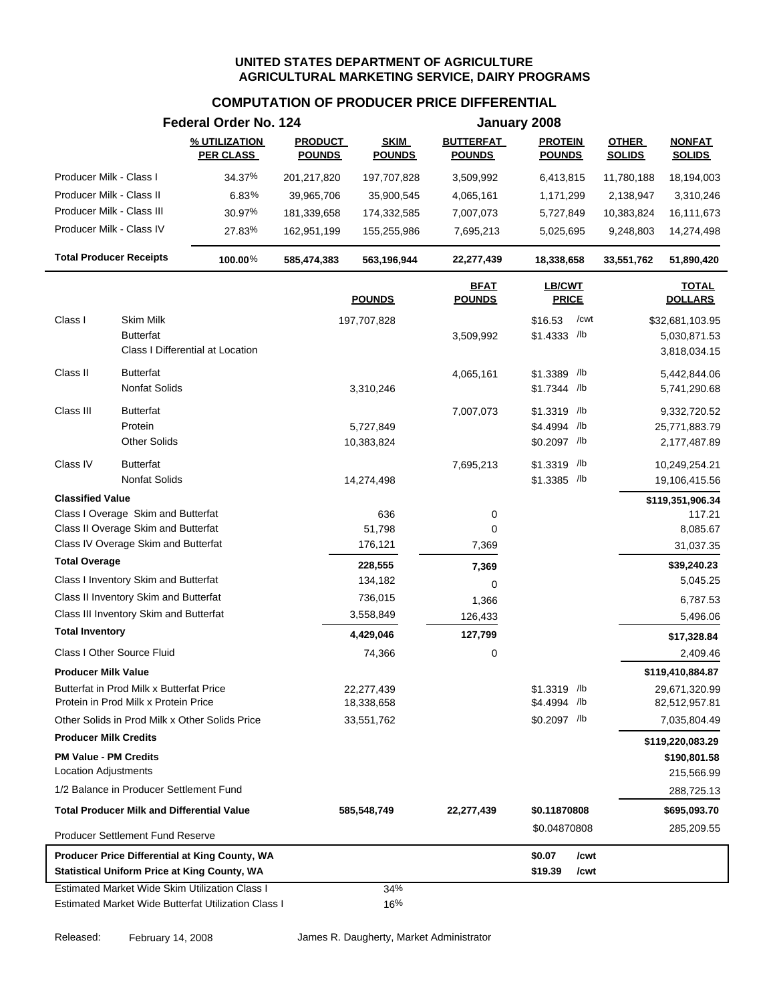|                                                               | Federal Order No. 124             |                                 |                              |                                   | January 2008                    |                               |                                |
|---------------------------------------------------------------|-----------------------------------|---------------------------------|------------------------------|-----------------------------------|---------------------------------|-------------------------------|--------------------------------|
|                                                               | % UTILIZATION<br><b>PER CLASS</b> | <b>PRODUCT</b><br><b>POUNDS</b> | <b>SKIM</b><br><b>POUNDS</b> | <b>BUTTERFAT</b><br><b>POUNDS</b> | <b>PROTEIN</b><br><b>POUNDS</b> | <b>OTHER</b><br><b>SOLIDS</b> | <b>NONFAT</b><br><b>SOLIDS</b> |
| Producer Milk - Class I                                       | 34.37%                            | 201,217,820                     | 197,707,828                  | 3,509,992                         | 6,413,815                       | 11,780,188                    | 18,194,003                     |
| Producer Milk - Class II                                      | 6.83%                             | 39,965,706                      | 35,900,545                   | 4,065,161                         | 1,171,299                       | 2,138,947                     | 3,310,246                      |
| Producer Milk - Class III                                     | 30.97%                            | 181,339,658                     | 174,332,585                  | 7,007,073                         | 5,727,849                       | 10,383,824                    | 16,111,673                     |
| Producer Milk - Class IV                                      | 27.83%                            | 162,951,199                     | 155,255,986                  | 7,695,213                         | 5,025,695                       | 9,248,803                     | 14,274,498                     |
| <b>Total Producer Receipts</b>                                | 100.00%                           | 585,474,383                     | 563,196,944                  | 22,277,439                        | 18,338,658                      | 33,551,762                    | 51,890,420                     |
|                                                               |                                   |                                 | <b>POUNDS</b>                | <b>BFAT</b><br><b>POUNDS</b>      | <b>LB/CWT</b><br><b>PRICE</b>   |                               | <b>TOTAL</b><br><b>DOLLARS</b> |
| Class I<br>Skim Milk                                          |                                   |                                 | 197,707,828                  |                                   | \$16.53<br>/cwt                 |                               | \$32,681,103.95                |
| <b>Butterfat</b>                                              |                                   |                                 |                              | 3,509,992                         | $$1.4333$ /lb                   |                               | 5,030,871.53                   |
|                                                               | Class I Differential at Location  |                                 |                              |                                   |                                 |                               | 3,818,034.15                   |
| Class II<br><b>Butterfat</b>                                  |                                   |                                 |                              | 4,065,161                         | $$1.3389$ /lb                   |                               | 5,442,844.06                   |
| Nonfat Solids                                                 |                                   |                                 | 3,310,246                    |                                   | $$1.7344$ /lb                   |                               | 5,741,290.68                   |
|                                                               |                                   |                                 |                              |                                   |                                 |                               |                                |
| Class III<br><b>Butterfat</b><br>Protein                      |                                   |                                 | 5,727,849                    | 7,007,073                         | $$1.3319$ /lb<br>\$4.4994 /lb   |                               | 9,332,720.52                   |
| <b>Other Solids</b>                                           |                                   |                                 | 10,383,824                   |                                   | \$0.2097 /lb                    |                               | 25,771,883.79<br>2,177,487.89  |
|                                                               |                                   |                                 |                              |                                   |                                 |                               |                                |
| Class IV<br><b>Butterfat</b><br>Nonfat Solids                 |                                   |                                 |                              | 7,695,213                         | $$1.3319$ /lb                   |                               | 10,249,254.21                  |
|                                                               |                                   |                                 | 14,274,498                   |                                   | $$1.3385$ /lb                   |                               | 19,106,415.56                  |
| <b>Classified Value</b><br>Class I Overage Skim and Butterfat |                                   |                                 |                              |                                   |                                 |                               | \$119,351,906.34               |
| Class II Overage Skim and Butterfat                           |                                   |                                 | 636<br>51,798                | 0<br>0                            |                                 |                               | 117.21<br>8,085.67             |
| Class IV Overage Skim and Butterfat                           |                                   |                                 | 176,121                      | 7,369                             |                                 |                               | 31,037.35                      |
| <b>Total Overage</b>                                          |                                   |                                 | 228,555                      | 7,369                             |                                 |                               | \$39,240.23                    |
| Class I Inventory Skim and Butterfat                          |                                   |                                 | 134,182                      | 0                                 |                                 |                               | 5,045.25                       |
| Class II Inventory Skim and Butterfat                         |                                   |                                 | 736,015                      | 1,366                             |                                 |                               | 6,787.53                       |
| Class III Inventory Skim and Butterfat                        |                                   |                                 | 3,558,849                    | 126,433                           |                                 |                               | 5,496.06                       |
| <b>Total Inventory</b>                                        |                                   |                                 | 4,429,046                    | 127,799                           |                                 |                               | \$17,328.84                    |
| Class I Other Source Fluid                                    |                                   |                                 | 74,366                       | 0                                 |                                 |                               | 2,409.46                       |
| <b>Producer Milk Value</b>                                    |                                   |                                 |                              |                                   |                                 |                               | \$119,410,884.87               |
| Butterfat in Prod Milk x Butterfat Price                      |                                   |                                 | 22,277,439                   |                                   | $$1.3319$ /lb                   |                               | 29,671,320.99                  |
| Protein in Prod Milk x Protein Price                          |                                   |                                 | 18,338,658                   |                                   | \$4.4994 /lb                    |                               | 82,512,957.81                  |
| Other Solids in Prod Milk x Other Solids Price                |                                   |                                 | 33,551,762                   |                                   | \$0.2097 /lb                    |                               | 7,035,804.49                   |
| <b>Producer Milk Credits</b>                                  |                                   |                                 |                              |                                   |                                 |                               | \$119,220,083.29               |
| PM Value - PM Credits<br><b>Location Adjustments</b>          |                                   |                                 |                              |                                   |                                 |                               | \$190,801.58<br>215,566.99     |
| 1/2 Balance in Producer Settlement Fund                       |                                   |                                 |                              |                                   |                                 |                               | 288,725.13                     |
| <b>Total Producer Milk and Differential Value</b>             |                                   |                                 | 585,548,749                  | 22,277,439                        | \$0.11870808                    |                               | \$695,093.70                   |
| <b>Producer Settlement Fund Reserve</b>                       |                                   |                                 |                              |                                   | \$0.04870808                    |                               | 285,209.55                     |
| Producer Price Differential at King County, WA                |                                   |                                 |                              |                                   | \$0.07<br>/cwt                  |                               |                                |
| <b>Statistical Uniform Price at King County, WA</b>           |                                   |                                 |                              |                                   | \$19.39<br>/cwt                 |                               |                                |
| <b>Estimated Market Wide Skim Utilization Class I</b>         |                                   |                                 | 34%                          |                                   |                                 |                               |                                |
| Estimated Market Wide Butterfat Utilization Class I           |                                   |                                 | 16%                          |                                   |                                 |                               |                                |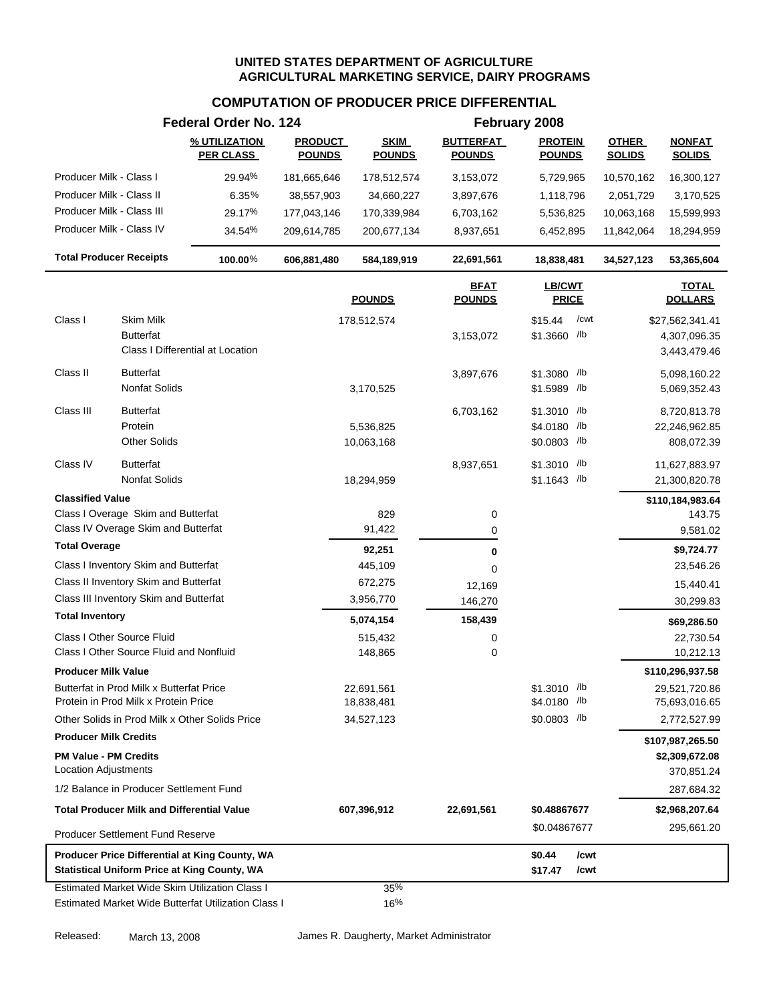|                              |                                                                                  | Federal Order No. 124                                                                                 |                                 |                              |                                   | February 2008                     |                               |                                    |
|------------------------------|----------------------------------------------------------------------------------|-------------------------------------------------------------------------------------------------------|---------------------------------|------------------------------|-----------------------------------|-----------------------------------|-------------------------------|------------------------------------|
|                              |                                                                                  | % UTILIZATION<br><b>PER CLASS</b>                                                                     | <b>PRODUCT</b><br><b>POUNDS</b> | <b>SKIM</b><br><b>POUNDS</b> | <b>BUTTERFAT</b><br><b>POUNDS</b> | <b>PROTEIN</b><br><b>POUNDS</b>   | <b>OTHER</b><br><b>SOLIDS</b> | <b>NONFAT</b><br><b>SOLIDS</b>     |
| Producer Milk - Class I      |                                                                                  | 29.94%                                                                                                | 181,665,646                     | 178,512,574                  | 3,153,072                         | 5,729,965                         | 10,570,162                    | 16,300,127                         |
| Producer Milk - Class II     |                                                                                  | 6.35%                                                                                                 | 38,557,903                      | 34,660,227                   | 3,897,676                         | 1,118,796                         | 2,051,729                     | 3,170,525                          |
| Producer Milk - Class III    |                                                                                  | 29.17%                                                                                                | 177,043,146                     | 170,339,984                  | 6,703,162                         | 5,536,825                         | 10,063,168                    | 15,599,993                         |
|                              | Producer Milk - Class IV                                                         | 34.54%                                                                                                | 209,614,785                     | 200,677,134                  | 8,937,651                         | 6,452,895                         | 11,842,064                    | 18,294,959                         |
|                              | <b>Total Producer Receipts</b>                                                   | 100.00%                                                                                               | 606,881,480                     | 584,189,919                  | 22,691,561                        | 18,838,481                        | 34,527,123                    | 53,365,604                         |
|                              |                                                                                  |                                                                                                       |                                 | <b>POUNDS</b>                | <b>BFAT</b><br><b>POUNDS</b>      | <b>LB/CWT</b><br><b>PRICE</b>     |                               | <b>TOTAL</b><br><b>DOLLARS</b>     |
| Class I                      | Skim Milk                                                                        |                                                                                                       |                                 | 178,512,574                  |                                   | \$15.44<br>/cwt                   |                               | \$27,562,341.41                    |
|                              | <b>Butterfat</b>                                                                 |                                                                                                       |                                 |                              | 3,153,072                         | $$1.3660$ /lb                     |                               | 4,307,096.35                       |
|                              |                                                                                  | Class I Differential at Location                                                                      |                                 |                              |                                   |                                   |                               | 3,443,479.46                       |
| Class II                     | <b>Butterfat</b>                                                                 |                                                                                                       |                                 |                              | 3,897,676                         | $$1.3080$ /lb                     |                               | 5,098,160.22                       |
|                              | Nonfat Solids                                                                    |                                                                                                       |                                 | 3,170,525                    |                                   | \$1.5989 /lb                      |                               | 5,069,352.43                       |
|                              |                                                                                  |                                                                                                       |                                 |                              |                                   |                                   |                               |                                    |
| Class III                    | <b>Butterfat</b><br>Protein                                                      |                                                                                                       |                                 | 5,536,825                    | 6,703,162                         | $$1.3010$ /lb<br>\$4.0180 /lb     |                               | 8,720,813.78                       |
|                              | <b>Other Solids</b>                                                              |                                                                                                       |                                 | 10,063,168                   |                                   | $$0.0803$ /lb                     |                               | 22,246,962.85<br>808,072.39        |
|                              |                                                                                  |                                                                                                       |                                 |                              |                                   |                                   |                               |                                    |
| Class IV                     | <b>Butterfat</b>                                                                 |                                                                                                       |                                 |                              | 8,937,651                         | $$1.3010$ /lb                     |                               | 11,627,883.97                      |
|                              | Nonfat Solids                                                                    |                                                                                                       |                                 | 18,294,959                   |                                   | $$1.1643$ /lb                     |                               | 21,300,820.78                      |
| <b>Classified Value</b>      |                                                                                  |                                                                                                       |                                 |                              |                                   |                                   |                               | \$110,184,983.64                   |
|                              | Class I Overage Skim and Butterfat<br>Class IV Overage Skim and Butterfat        |                                                                                                       |                                 | 829<br>91,422                | 0<br>0                            |                                   |                               | 143.75                             |
| <b>Total Overage</b>         |                                                                                  |                                                                                                       |                                 |                              |                                   |                                   |                               | 9,581.02                           |
|                              |                                                                                  |                                                                                                       |                                 | 92,251                       | 0                                 |                                   |                               | \$9,724.77                         |
|                              | Class I Inventory Skim and Butterfat<br>Class II Inventory Skim and Butterfat    |                                                                                                       |                                 | 445,109                      | $\mathbf 0$                       |                                   |                               | 23,546.26                          |
|                              |                                                                                  |                                                                                                       |                                 | 672,275                      | 12,169                            |                                   |                               | 15,440.41                          |
|                              | Class III Inventory Skim and Butterfat                                           |                                                                                                       |                                 | 3,956,770                    | 146,270                           |                                   |                               | 30,299.83                          |
| <b>Total Inventory</b>       |                                                                                  |                                                                                                       |                                 | 5,074,154                    | 158,439                           |                                   |                               | \$69,286.50                        |
|                              | Class I Other Source Fluid                                                       |                                                                                                       |                                 | 515,432                      | 0                                 |                                   |                               | 22,730.54                          |
|                              | Class I Other Source Fluid and Nonfluid                                          |                                                                                                       |                                 | 148,865                      | 0                                 |                                   |                               | 10,212.13                          |
| <b>Producer Milk Value</b>   |                                                                                  |                                                                                                       |                                 |                              |                                   |                                   |                               | \$110,296,937.58                   |
|                              | Butterfat in Prod Milk x Butterfat Price<br>Protein in Prod Milk x Protein Price |                                                                                                       |                                 | 22,691,561<br>18,838,481     |                                   | $$1.3010$ /lb<br>\$4.0180 /b      |                               | 29,521,720.86<br>75,693,016.65     |
|                              |                                                                                  | Other Solids in Prod Milk x Other Solids Price                                                        |                                 | 34,527,123                   |                                   | $$0.0803$ /lb                     |                               | 2,772,527.99                       |
| <b>Producer Milk Credits</b> |                                                                                  |                                                                                                       |                                 |                              |                                   |                                   |                               |                                    |
| <b>PM Value - PM Credits</b> |                                                                                  |                                                                                                       |                                 |                              |                                   |                                   |                               | \$107,987,265.50<br>\$2,309,672.08 |
| <b>Location Adjustments</b>  |                                                                                  |                                                                                                       |                                 |                              |                                   |                                   |                               | 370,851.24                         |
|                              | 1/2 Balance in Producer Settlement Fund                                          |                                                                                                       |                                 |                              |                                   |                                   |                               | 287,684.32                         |
|                              | <b>Total Producer Milk and Differential Value</b>                                |                                                                                                       |                                 | 607,396,912                  | 22,691,561                        | \$0.48867677                      |                               | \$2,968,207.64                     |
|                              |                                                                                  |                                                                                                       |                                 |                              |                                   | \$0.04867677                      |                               | 295,661.20                         |
|                              | <b>Producer Settlement Fund Reserve</b>                                          |                                                                                                       |                                 |                              |                                   |                                   |                               |                                    |
|                              |                                                                                  | Producer Price Differential at King County, WA<br><b>Statistical Uniform Price at King County, WA</b> |                                 |                              |                                   | \$0.44<br>/cwt<br>\$17.47<br>/cwt |                               |                                    |
|                              |                                                                                  | <b>Estimated Market Wide Skim Utilization Class I</b>                                                 |                                 | 35%                          |                                   |                                   |                               |                                    |
|                              |                                                                                  | Estimated Market Wide Butterfat Utilization Class I                                                   |                                 | 16%                          |                                   |                                   |                               |                                    |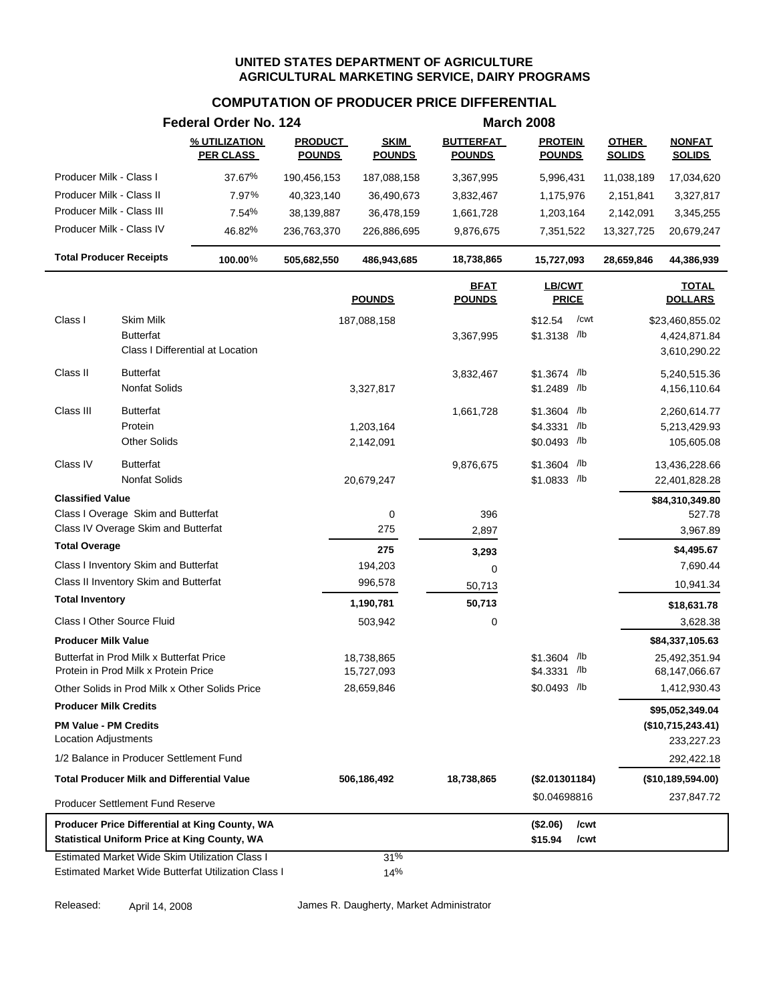#### **COMPUTATION OF PRODUCER PRICE DIFFERENTIAL**

|                                |                                                                                  | Federal Order No. 124                                                                                        |                                 |                              |                                   | <b>March 2008</b>               |      |                               |                                |
|--------------------------------|----------------------------------------------------------------------------------|--------------------------------------------------------------------------------------------------------------|---------------------------------|------------------------------|-----------------------------------|---------------------------------|------|-------------------------------|--------------------------------|
|                                |                                                                                  | % UTILIZATION<br><b>PER CLASS</b>                                                                            | <b>PRODUCT</b><br><b>POUNDS</b> | <b>SKIM</b><br><b>POUNDS</b> | <b>BUTTERFAT</b><br><b>POUNDS</b> | <b>PROTEIN</b><br><b>POUNDS</b> |      | <b>OTHER</b><br><b>SOLIDS</b> | <b>NONFAT</b><br><b>SOLIDS</b> |
| Producer Milk - Class I        |                                                                                  | 37.67%                                                                                                       | 190,456,153                     | 187,088,158                  | 3,367,995                         | 5,996,431                       |      | 11,038,189                    | 17,034,620                     |
| Producer Milk - Class II       |                                                                                  | 7.97%                                                                                                        | 40,323,140                      | 36,490,673                   | 3,832,467                         | 1,175,976                       |      | 2,151,841                     | 3,327,817                      |
| Producer Milk - Class III      |                                                                                  | 7.54%                                                                                                        | 38,139,887                      | 36,478,159                   | 1,661,728                         | 1,203,164                       |      | 2,142,091                     | 3,345,255                      |
| Producer Milk - Class IV       |                                                                                  | 46.82%                                                                                                       | 236,763,370                     | 226,886,695                  | 9,876,675                         | 7,351,522                       |      | 13,327,725                    | 20,679,247                     |
| <b>Total Producer Receipts</b> |                                                                                  | $100.00\%$                                                                                                   | 505,682,550                     | 486,943,685                  | 18,738,865                        | 15,727,093                      |      | 28,659,846                    | 44,386,939                     |
|                                |                                                                                  |                                                                                                              |                                 | <b>POUNDS</b>                | <b>BFAT</b><br><b>POUNDS</b>      | <b>LB/CWT</b><br><b>PRICE</b>   |      |                               | <b>TOTAL</b><br><b>DOLLARS</b> |
| Class I                        | Skim Milk                                                                        |                                                                                                              |                                 | 187,088,158                  |                                   | \$12.54                         | /cwt |                               | \$23,460,855.02                |
|                                | Butterfat                                                                        | Class I Differential at Location                                                                             |                                 |                              | 3,367,995                         | \$1.3138 /lb                    |      |                               | 4,424,871.84<br>3,610,290.22   |
| Class II                       | <b>Butterfat</b>                                                                 |                                                                                                              |                                 |                              | 3,832,467                         | $$1.3674$ /lb                   |      |                               | 5,240,515.36                   |
|                                | Nonfat Solids                                                                    |                                                                                                              |                                 | 3,327,817                    |                                   | $$1.2489$ /lb                   |      |                               | 4,156,110.64                   |
| Class III                      | Butterfat                                                                        |                                                                                                              |                                 |                              | 1,661,728                         | $$1.3604$ /lb                   |      |                               | 2,260,614.77                   |
|                                | Protein                                                                          |                                                                                                              |                                 | 1,203,164                    |                                   | \$4.3331 /lb                    |      |                               | 5,213,429.93                   |
|                                | <b>Other Solids</b>                                                              |                                                                                                              |                                 | 2,142,091                    |                                   | $$0.0493$ /lb                   |      |                               | 105,605.08                     |
| Class IV                       | <b>Butterfat</b>                                                                 |                                                                                                              |                                 |                              | 9,876,675                         | $$1.3604$ /lb                   |      |                               | 13,436,228.66                  |
|                                | Nonfat Solids                                                                    |                                                                                                              |                                 | 20,679,247                   |                                   | \$1.0833 /lb                    |      |                               | 22,401,828.28                  |
| <b>Classified Value</b>        |                                                                                  |                                                                                                              |                                 |                              |                                   |                                 |      |                               | \$84,310,349.80                |
|                                | Class I Overage Skim and Butterfat                                               |                                                                                                              |                                 | 0                            | 396                               |                                 |      |                               | 527.78                         |
|                                | Class IV Overage Skim and Butterfat                                              |                                                                                                              |                                 | 275                          | 2,897                             |                                 |      |                               | 3,967.89                       |
| <b>Total Overage</b>           |                                                                                  |                                                                                                              |                                 | 275                          | 3,293                             |                                 |      |                               | \$4,495.67                     |
|                                | Class I Inventory Skim and Butterfat                                             |                                                                                                              |                                 | 194,203                      | 0                                 |                                 |      |                               | 7,690.44                       |
|                                | Class II Inventory Skim and Butterfat                                            |                                                                                                              |                                 | 996,578                      | 50,713                            |                                 |      |                               | 10,941.34                      |
| <b>Total Inventory</b>         |                                                                                  |                                                                                                              |                                 | 1,190,781                    | 50,713                            |                                 |      |                               | \$18,631.78                    |
| Class I Other Source Fluid     |                                                                                  |                                                                                                              |                                 | 503,942                      | 0                                 |                                 |      |                               | 3,628.38                       |
| <b>Producer Milk Value</b>     |                                                                                  |                                                                                                              |                                 |                              |                                   |                                 |      |                               | \$84,337,105.63                |
|                                | Butterfat in Prod Milk x Butterfat Price<br>Protein in Prod Milk x Protein Price |                                                                                                              |                                 | 18,738,865<br>15,727,093     |                                   | $$1.3604$ /lb<br>\$4.3331 /lb   |      |                               | 25,492,351.94<br>68,147,066.67 |
|                                |                                                                                  | Other Solids in Prod Milk x Other Solids Price                                                               |                                 | 28,659,846                   |                                   | $$0.0493$ /lb                   |      |                               | 1,412,930.43                   |
| <b>Producer Milk Credits</b>   |                                                                                  |                                                                                                              |                                 |                              |                                   |                                 |      |                               | \$95,052,349.04                |
| <b>PM Value - PM Credits</b>   |                                                                                  |                                                                                                              |                                 |                              |                                   |                                 |      |                               | (\$10,715,243.41)              |
| Location Adjustments           |                                                                                  |                                                                                                              |                                 |                              |                                   |                                 |      |                               | 233,227.23                     |
|                                | 1/2 Balance in Producer Settlement Fund                                          |                                                                                                              |                                 |                              |                                   |                                 |      |                               | 292,422.18                     |
|                                | <b>Total Producer Milk and Differential Value</b>                                |                                                                                                              |                                 | 506,186,492                  | 18,738,865                        | (\$2.01301184)                  |      |                               | (\$10,189,594.00)              |
|                                | <b>Producer Settlement Fund Reserve</b>                                          |                                                                                                              |                                 |                              |                                   | \$0.04698816                    |      |                               | 237,847.72                     |
|                                |                                                                                  | Producer Price Differential at King County, WA                                                               |                                 |                              |                                   | (\$2.06)                        | /cwt |                               |                                |
|                                |                                                                                  | <b>Statistical Uniform Price at King County, WA</b>                                                          |                                 |                              |                                   | \$15.94                         | /cwt |                               |                                |
|                                |                                                                                  | <b>Estimated Market Wide Skim Utilization Class I</b><br>Estimated Market Wide Butterfat Utilization Class I |                                 | 31%<br>14%                   |                                   |                                 |      |                               |                                |

Released: April 14, 2008 James R. Daugherty, Market Administrator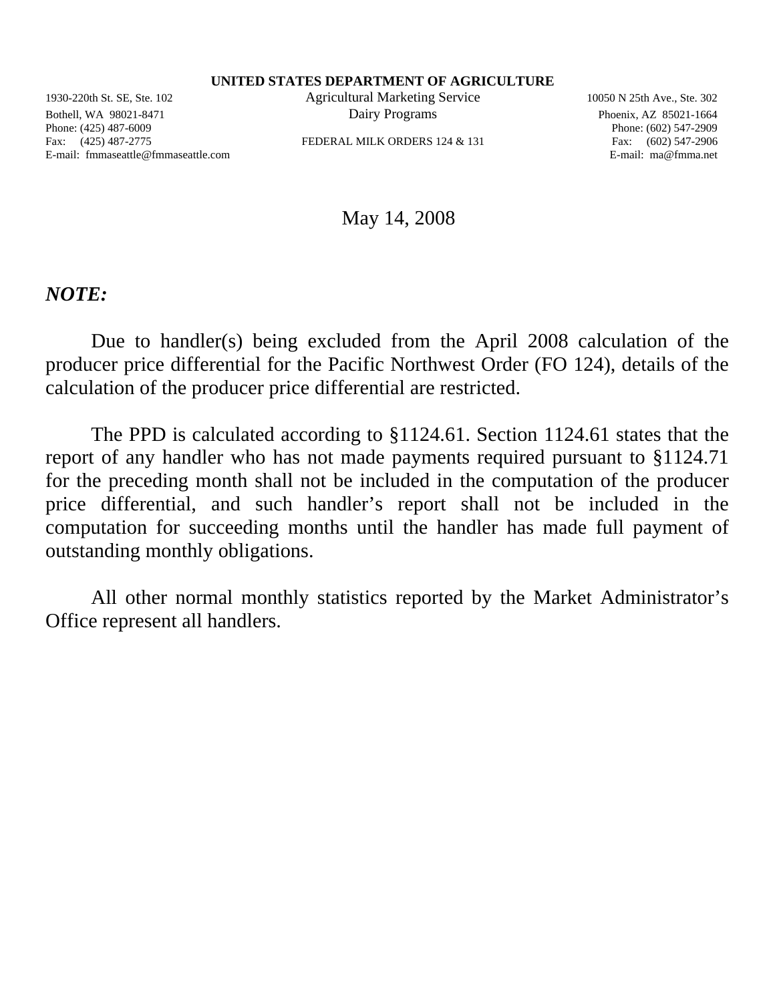#### **UNITED STATES DEPARTMENT OF AGRICULTURE**

Phone: (425) 487-6009 Phone: (602) 547-2909 Fax: (425) 487-2775 FEDERAL MILK ORDERS 124 & 131 Fax: (602) 547-2906 E-mail: fmmaseattle@fmmaseattle.com E-mail: ma@fmma.net

1930-220th St. SE, Ste. 102 Agricultural Marketing Service 10050 N 25th Ave., Ste. 302 Bothell, WA 98021-8471 Dairy Programs Phoenix, AZ 85021-1664

May 14, 2008

*NOTE:* 

Due to handler(s) being excluded from the April 2008 calculation of the producer price differential for the Pacific Northwest Order (FO 124), details of the calculation of the producer price differential are restricted.

The PPD is calculated according to §1124.61. Section 1124.61 states that the report of any handler who has not made payments required pursuant to §1124.71 for the preceding month shall not be included in the computation of the producer price differential, and such handler's report shall not be included in the computation for succeeding months until the handler has made full payment of outstanding monthly obligations.

All other normal monthly statistics reported by the Market Administrator's Office represent all handlers.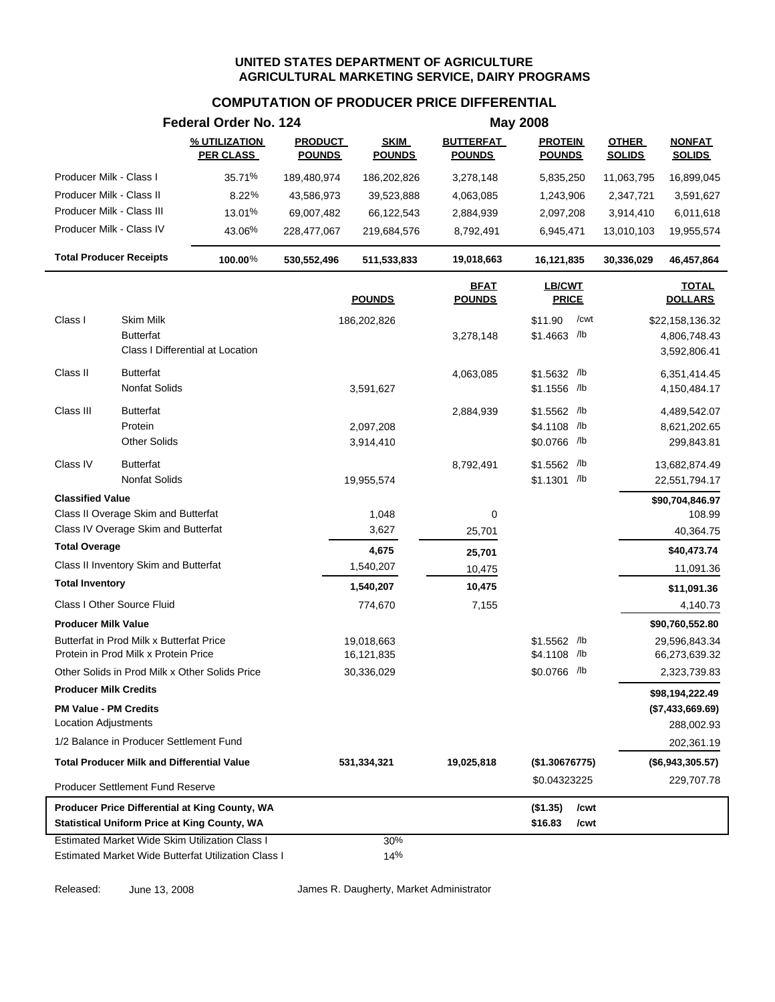# **COMPUTATION OF PRODUCER PRICE DIFFERENTIAL**

|                                                     | Federal Order No. 124             |                                 |                              |                                   | <b>May 2008</b>                 |                               |                                |  |  |
|-----------------------------------------------------|-----------------------------------|---------------------------------|------------------------------|-----------------------------------|---------------------------------|-------------------------------|--------------------------------|--|--|
|                                                     | % UTILIZATION<br><b>PER CLASS</b> | <b>PRODUCT</b><br><b>POUNDS</b> | <b>SKIM</b><br><b>POUNDS</b> | <b>BUTTERFAT</b><br><b>POUNDS</b> | <b>PROTEIN</b><br><b>POUNDS</b> | <b>OTHER</b><br><b>SOLIDS</b> | <b>NONFAT</b><br><b>SOLIDS</b> |  |  |
| Producer Milk - Class I                             | 35.71%                            | 189,480,974                     | 186,202,826                  | 3,278,148                         | 5,835,250                       | 11,063,795                    | 16,899,045                     |  |  |
| Producer Milk - Class II                            | 8.22%                             | 43,586,973                      | 39,523,888                   | 4,063,085                         | 1,243,906                       | 2,347,721                     | 3,591,627                      |  |  |
| Producer Milk - Class III                           | 13.01%                            | 69,007,482                      | 66,122,543                   | 2,884,939                         | 2,097,208                       | 3,914,410                     | 6,011,618                      |  |  |
| Producer Milk - Class IV                            | 43.06%                            | 228,477,067                     | 219,684,576                  | 8,792,491                         | 6,945,471                       | 13,010,103                    | 19,955,574                     |  |  |
| <b>Total Producer Receipts</b>                      | 100.00%                           | 530,552,496                     | 511,533,833                  | 19,018,663                        | 16,121,835                      | 30,336,029                    | 46,457,864                     |  |  |
|                                                     |                                   |                                 | <b>POUNDS</b>                | <b>BFAT</b><br><b>POUNDS</b>      | LB/CWT<br><b>PRICE</b>          |                               | <b>TOTAL</b><br><b>DOLLARS</b> |  |  |
| Class I<br>Skim Milk                                |                                   |                                 | 186,202,826                  |                                   | /cwt<br>\$11.90                 |                               | \$22,158,136.32                |  |  |
| <b>Butterfat</b>                                    | Class I Differential at Location  |                                 |                              | 3,278,148                         | \$1.4663 /lb                    |                               | 4,806,748.43<br>3,592,806.41   |  |  |
| Class II<br><b>Butterfat</b>                        |                                   |                                 |                              | 4,063,085                         | $$1.5632$ /lb                   |                               | 6,351,414.45                   |  |  |
| <b>Nonfat Solids</b>                                |                                   |                                 | 3,591,627                    |                                   | $$1.1556$ /lb                   |                               | 4,150,484.17                   |  |  |
| Class III<br><b>Butterfat</b>                       |                                   |                                 |                              | 2,884,939                         | \$1.5562 /lb                    |                               | 4,489,542.07                   |  |  |
| Protein                                             |                                   |                                 | 2,097,208                    |                                   | \$4.1108 /lb                    |                               | 8,621,202.65                   |  |  |
| <b>Other Solids</b>                                 |                                   |                                 | 3,914,410                    |                                   | \$0.0766 /lb                    |                               | 299,843.81                     |  |  |
| <b>Butterfat</b><br>Class IV                        |                                   |                                 |                              | 8,792,491                         | \$1.5562 /lb                    |                               | 13,682,874.49                  |  |  |
| <b>Nonfat Solids</b>                                |                                   |                                 | 19,955,574                   |                                   | \$1.1301 /b                     |                               | 22,551,794.17                  |  |  |
| <b>Classified Value</b>                             |                                   |                                 |                              |                                   |                                 |                               | \$90,704,846.97                |  |  |
| Class II Overage Skim and Butterfat                 |                                   |                                 | 1,048                        | 0                                 |                                 |                               | 108.99                         |  |  |
| Class IV Overage Skim and Butterfat                 |                                   |                                 | 3,627                        | 25,701                            |                                 |                               | 40,364.75                      |  |  |
| <b>Total Overage</b>                                |                                   |                                 | 4,675                        | 25,701                            |                                 |                               | \$40,473.74                    |  |  |
| Class II Inventory Skim and Butterfat               |                                   |                                 | 1,540,207                    | 10,475                            |                                 |                               | 11,091.36                      |  |  |
| <b>Total Inventory</b>                              |                                   |                                 | 1,540,207                    | 10,475                            |                                 |                               | \$11,091.36                    |  |  |
| Class I Other Source Fluid                          |                                   |                                 | 774,670                      | 7,155                             |                                 |                               | 4,140.73                       |  |  |
| <b>Producer Milk Value</b>                          |                                   |                                 |                              |                                   |                                 |                               | \$90,760,552.80                |  |  |
| Butterfat in Prod Milk x Butterfat Price            |                                   |                                 | 19,018,663                   |                                   | $$1.5562$ /lb                   |                               | 29,596,843.34                  |  |  |
| Protein in Prod Milk x Protein Price                |                                   |                                 | 16,121,835                   |                                   | /lb<br>\$4.1108                 |                               | 66,273,639.32                  |  |  |
| Other Solids in Prod Milk x Other Solids Price      |                                   |                                 | 30,336,029                   |                                   | \$0.0766 /lb                    |                               | 2,323,739.83                   |  |  |
| <b>Producer Milk Credits</b>                        |                                   |                                 |                              |                                   |                                 |                               | \$98,194,222.49                |  |  |
| <b>PM Value - PM Credits</b>                        |                                   |                                 |                              |                                   |                                 |                               | (\$7,433,669.69)               |  |  |
| <b>Location Adjustments</b>                         |                                   |                                 |                              |                                   |                                 |                               | 288,002.93                     |  |  |
| 1/2 Balance in Producer Settlement Fund             |                                   |                                 |                              |                                   |                                 |                               | 202,361.19                     |  |  |
| <b>Total Producer Milk and Differential Value</b>   |                                   |                                 | 531,334,321                  | 19,025,818                        | (\$1.30676775)                  |                               | (\$6,943,305.57)               |  |  |
| Producer Settlement Fund Reserve                    |                                   |                                 |                              |                                   | \$0.04323225                    |                               | 229,707.78                     |  |  |
| Producer Price Differential at King County, WA      |                                   |                                 |                              |                                   | /cwt<br>(\$1.35)                |                               |                                |  |  |
| <b>Statistical Uniform Price at King County, WA</b> |                                   |                                 |                              |                                   | \$16.83<br>/cwt                 |                               |                                |  |  |
| Estimated Market Wide Skim Utilization Class I      |                                   |                                 | 30%                          |                                   |                                 |                               |                                |  |  |
| Estimated Market Wide Butterfat Utilization Class I |                                   |                                 | 14%                          |                                   |                                 |                               |                                |  |  |

Released: June 13, 2008 James R. Daugherty, Market Administrator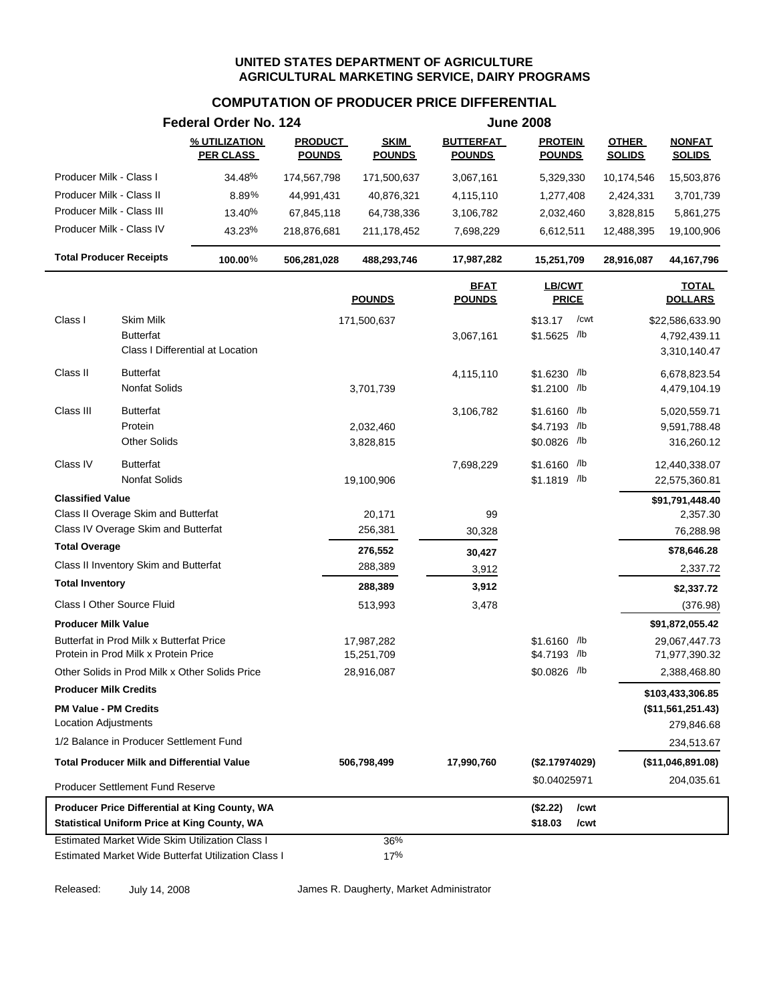# **COMPUTATION OF PRODUCER PRICE DIFFERENTIAL**

|                                                       |                      | Federal Order No. 124             |                                 |                              |                                   | <b>June 2008</b>                |                               |                                |
|-------------------------------------------------------|----------------------|-----------------------------------|---------------------------------|------------------------------|-----------------------------------|---------------------------------|-------------------------------|--------------------------------|
|                                                       |                      | % UTILIZATION<br><b>PER CLASS</b> | <b>PRODUCT</b><br><b>POUNDS</b> | <b>SKIM</b><br><b>POUNDS</b> | <b>BUTTERFAT</b><br><b>POUNDS</b> | <b>PROTEIN</b><br><b>POUNDS</b> | <b>OTHER</b><br><b>SOLIDS</b> | <b>NONFAT</b><br><b>SOLIDS</b> |
| Producer Milk - Class I                               |                      | 34.48%                            | 174,567,798                     | 171,500,637                  | 3,067,161                         | 5,329,330                       | 10,174,546                    | 15,503,876                     |
| Producer Milk - Class II                              |                      | 8.89%                             | 44,991,431                      | 40,876,321                   | 4,115,110                         | 1,277,408                       | 2,424,331                     | 3,701,739                      |
| Producer Milk - Class III                             |                      | 13.40%                            | 67,845,118                      | 64,738,336                   | 3,106,782                         | 2,032,460                       | 3,828,815                     | 5,861,275                      |
| Producer Milk - Class IV                              |                      | 43.23%                            | 218,876,681                     | 211,178,452                  | 7,698,229                         | 6,612,511                       | 12,488,395                    | 19,100,906                     |
| <b>Total Producer Receipts</b>                        |                      | 100.00%                           | 506,281,028                     | 488,293,746                  | 17,987,282                        | 15,251,709                      | 28,916,087                    | 44,167,796                     |
|                                                       |                      |                                   |                                 | <b>POUNDS</b>                | <b>BFAT</b><br><b>POUNDS</b>      | LB/CWT<br><b>PRICE</b>          |                               | <b>TOTAL</b><br><b>DOLLARS</b> |
| Class I                                               | Skim Milk            |                                   |                                 | 171,500,637                  |                                   | /cwt<br>\$13.17                 |                               | \$22,586,633.90                |
|                                                       | <b>Butterfat</b>     |                                   |                                 |                              | 3,067,161                         | \$1.5625 /lb                    |                               | 4,792,439.11                   |
|                                                       |                      | Class I Differential at Location  |                                 |                              |                                   |                                 |                               | 3,310,140.47                   |
| Class II                                              | <b>Butterfat</b>     |                                   |                                 |                              | 4,115,110                         | \$1.6230 /b                     |                               | 6,678,823.54                   |
|                                                       | <b>Nonfat Solids</b> |                                   |                                 | 3,701,739                    |                                   | \$1.2100 /lb                    |                               | 4,479,104.19                   |
| Class III                                             | <b>Butterfat</b>     |                                   |                                 |                              | 3,106,782                         | \$1.6160 /lb                    |                               | 5,020,559.71                   |
|                                                       | Protein              |                                   |                                 | 2,032,460                    |                                   | \$4.7193 /lb                    |                               | 9,591,788.48                   |
|                                                       | <b>Other Solids</b>  |                                   |                                 | 3,828,815                    |                                   | $$0.0826$ /lb                   |                               | 316,260.12                     |
| Class IV                                              | <b>Butterfat</b>     |                                   |                                 |                              | 7,698,229                         | \$1.6160 /lb                    |                               | 12,440,338.07                  |
|                                                       | <b>Nonfat Solids</b> |                                   |                                 | 19,100,906                   |                                   | \$1.1819 /lb                    |                               | 22,575,360.81                  |
| <b>Classified Value</b>                               |                      |                                   |                                 |                              |                                   |                                 |                               | \$91,791,448.40                |
| Class II Overage Skim and Butterfat                   |                      |                                   |                                 | 20,171                       | 99                                |                                 |                               | 2,357.30                       |
| Class IV Overage Skim and Butterfat                   |                      |                                   |                                 | 256,381                      | 30,328                            |                                 |                               | 76,288.98                      |
| <b>Total Overage</b>                                  |                      |                                   |                                 | 276,552                      | 30,427                            |                                 |                               | \$78,646.28                    |
| Class II Inventory Skim and Butterfat                 |                      |                                   |                                 | 288,389                      | 3,912                             |                                 |                               | 2,337.72                       |
| <b>Total Inventory</b>                                |                      |                                   |                                 | 288,389                      | 3,912                             |                                 |                               | \$2,337.72                     |
| Class I Other Source Fluid                            |                      |                                   |                                 | 513,993                      | 3,478                             |                                 |                               | (376.98)                       |
| <b>Producer Milk Value</b>                            |                      |                                   |                                 |                              |                                   |                                 |                               | \$91,872,055.42                |
| Butterfat in Prod Milk x Butterfat Price              |                      |                                   |                                 | 17,987,282                   |                                   | $$1.6160$ /lb                   |                               | 29,067,447.73                  |
| Protein in Prod Milk x Protein Price                  |                      |                                   |                                 | 15,251,709                   |                                   | \$4.7193 /lb                    |                               | 71,977,390.32                  |
| Other Solids in Prod Milk x Other Solids Price        |                      |                                   |                                 | 28,916,087                   |                                   | \$0.0826 /lb                    |                               | 2,388,468.80                   |
| <b>Producer Milk Credits</b>                          |                      |                                   |                                 |                              |                                   |                                 |                               | \$103,433,306.85               |
| <b>PM Value - PM Credits</b>                          |                      |                                   |                                 |                              |                                   |                                 |                               | (\$11,561,251.43)              |
| Location Adjustments                                  |                      |                                   |                                 |                              |                                   |                                 |                               | 279,846.68                     |
| 1/2 Balance in Producer Settlement Fund               |                      |                                   |                                 |                              |                                   |                                 |                               | 234,513.67                     |
| <b>Total Producer Milk and Differential Value</b>     |                      |                                   |                                 | 506,798,499                  | 17,990,760                        | (\$2.17974029)                  |                               | (\$11,046,891.08)              |
| <b>Producer Settlement Fund Reserve</b>               |                      |                                   |                                 |                              |                                   | \$0.04025971                    |                               | 204,035.61                     |
| Producer Price Differential at King County, WA        |                      |                                   |                                 |                              |                                   | /cwt<br>(\$2.22)                |                               |                                |
| <b>Statistical Uniform Price at King County, WA</b>   |                      |                                   |                                 |                              |                                   | \$18.03<br>/cwt                 |                               |                                |
| <b>Estimated Market Wide Skim Utilization Class I</b> |                      |                                   |                                 | 36%                          |                                   |                                 |                               |                                |
| Estimated Market Wide Butterfat Utilization Class I   |                      |                                   |                                 | 17%                          |                                   |                                 |                               |                                |

Released: July 14, 2008 James R. Daugherty, Market Administrator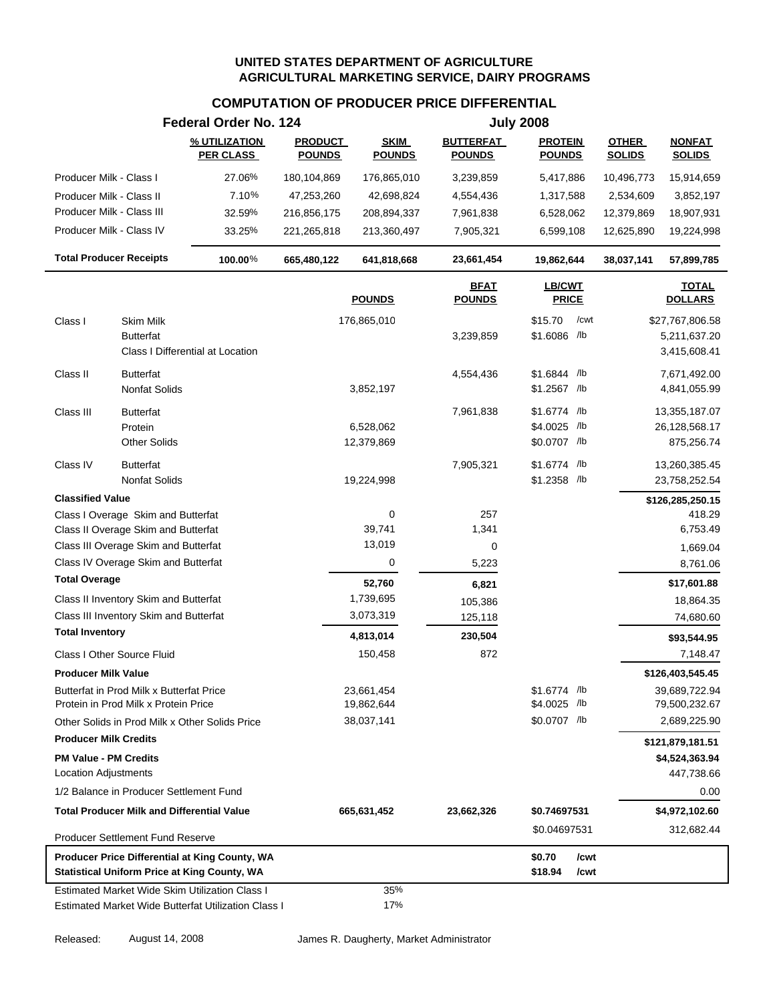|                                                                                             |                                                                                  | Federal Order No. 124                                                                                        |                                 |                              |                                   | <b>July 2008</b>                             |                               |                                                  |
|---------------------------------------------------------------------------------------------|----------------------------------------------------------------------------------|--------------------------------------------------------------------------------------------------------------|---------------------------------|------------------------------|-----------------------------------|----------------------------------------------|-------------------------------|--------------------------------------------------|
|                                                                                             |                                                                                  | % UTILIZATION<br><b>PER CLASS</b>                                                                            | <b>PRODUCT</b><br><b>POUNDS</b> | <b>SKIM</b><br><b>POUNDS</b> | <b>BUTTERFAT</b><br><b>POUNDS</b> | <b>PROTEIN</b><br><b>POUNDS</b>              | <b>OTHER</b><br><b>SOLIDS</b> | <b>NONFAT</b><br><b>SOLIDS</b>                   |
| Producer Milk - Class I                                                                     |                                                                                  | 27.06%                                                                                                       | 180,104,869                     | 176,865,010                  | 3,239,859                         | 5,417,886                                    | 10,496,773                    | 15,914,659                                       |
| Producer Milk - Class II                                                                    |                                                                                  | 7.10%                                                                                                        | 47,253,260                      | 42,698,824                   | 4,554,436                         | 1,317,588                                    | 2,534,609                     | 3,852,197                                        |
| Producer Milk - Class III                                                                   |                                                                                  | 32.59%                                                                                                       | 216,856,175                     | 208,894,337                  | 7,961,838                         | 6,528,062                                    | 12,379,869                    | 18,907,931                                       |
| Producer Milk - Class IV                                                                    |                                                                                  | 33.25%                                                                                                       | 221,265,818                     | 213,360,497                  | 7,905,321                         | 6,599,108                                    | 12,625,890                    | 19,224,998                                       |
| <b>Total Producer Receipts</b>                                                              |                                                                                  | 100.00%                                                                                                      | 665,480,122                     | 641,818,668                  | 23,661,454                        | 19,862,644                                   | 38,037,141                    | 57,899,785                                       |
|                                                                                             |                                                                                  |                                                                                                              |                                 | <b>POUNDS</b>                | <b>BFAT</b><br><b>POUNDS</b>      | LB/CWT<br><b>PRICE</b>                       |                               | <b>TOTAL</b><br><b>DOLLARS</b>                   |
| Class I                                                                                     | <b>Skim Milk</b><br><b>Butterfat</b>                                             | Class I Differential at Location                                                                             |                                 | 176,865,010                  | 3,239,859                         | \$15.70<br>/cwt<br>\$1.6086 /lb              |                               | \$27,767,806.58<br>5,211,637.20<br>3,415,608.41  |
| Class II                                                                                    | <b>Butterfat</b><br>Nonfat Solids                                                |                                                                                                              |                                 | 3,852,197                    | 4,554,436                         | \$1.6844 /lb<br>$$1.2567$ /lb                |                               | 7,671,492.00<br>4,841,055.99                     |
| Class III                                                                                   | <b>Butterfat</b><br>Protein<br><b>Other Solids</b>                               |                                                                                                              |                                 | 6,528,062<br>12,379,869      | 7,961,838                         | \$1.6774 /lb<br>\$4.0025 /lb<br>\$0.0707 /lb |                               | 13,355,187.07<br>26,128,568.17<br>875,256.74     |
| Class IV                                                                                    | <b>Butterfat</b><br>Nonfat Solids                                                |                                                                                                              |                                 | 19,224,998                   | 7,905,321                         | \$1.6774 /lb<br>$$1.2358$ /lb                |                               | 13,260,385.45<br>23,758,252.54                   |
| <b>Classified Value</b>                                                                     |                                                                                  |                                                                                                              |                                 |                              |                                   |                                              |                               | \$126,285,250.15                                 |
|                                                                                             | Class I Overage Skim and Butterfat                                               |                                                                                                              |                                 | $\mathbf 0$                  | 257                               |                                              |                               | 418.29                                           |
|                                                                                             | Class II Overage Skim and Butterfat                                              |                                                                                                              |                                 | 39,741<br>13,019             | 1,341                             |                                              |                               | 6,753.49                                         |
|                                                                                             | Class III Overage Skim and Butterfat<br>Class IV Overage Skim and Butterfat      |                                                                                                              |                                 | 0                            | 0                                 |                                              |                               | 1,669.04                                         |
| <b>Total Overage</b>                                                                        |                                                                                  |                                                                                                              |                                 |                              | 5,223                             |                                              |                               | 8,761.06                                         |
|                                                                                             |                                                                                  |                                                                                                              |                                 | 52,760                       | 6,821                             |                                              |                               | \$17,601.88                                      |
|                                                                                             | Class II Inventory Skim and Butterfat<br>Class III Inventory Skim and Butterfat  |                                                                                                              |                                 | 1,739,695<br>3,073,319       | 105,386                           |                                              |                               | 18,864.35                                        |
| <b>Total Inventory</b>                                                                      |                                                                                  |                                                                                                              |                                 |                              | 125,118                           |                                              |                               | 74,680.60                                        |
|                                                                                             | Class I Other Source Fluid                                                       |                                                                                                              |                                 | 4,813,014                    | 230,504<br>872                    |                                              |                               | \$93,544.95<br>7,148.47                          |
|                                                                                             |                                                                                  |                                                                                                              |                                 | 150,458                      |                                   |                                              |                               | \$126,403,545.45                                 |
| <b>Producer Milk Value</b>                                                                  | Butterfat in Prod Milk x Butterfat Price<br>Protein in Prod Milk x Protein Price |                                                                                                              |                                 | 23,661,454<br>19,862,644     |                                   | $$1.6774$ /lb<br>\$4.0025 /lb                |                               | 39,689,722.94<br>79,500,232.67                   |
|                                                                                             |                                                                                  | Other Solids in Prod Milk x Other Solids Price                                                               |                                 | 38,037,141                   |                                   | \$0.0707 /lb                                 |                               | 2,689,225.90                                     |
| <b>Producer Milk Credits</b><br><b>PM Value - PM Credits</b><br><b>Location Adjustments</b> |                                                                                  |                                                                                                              |                                 |                              |                                   |                                              |                               | \$121,879,181.51<br>\$4,524,363.94<br>447,738.66 |
|                                                                                             | 1/2 Balance in Producer Settlement Fund                                          |                                                                                                              |                                 |                              |                                   |                                              |                               | 0.00                                             |
|                                                                                             | <b>Total Producer Milk and Differential Value</b>                                |                                                                                                              |                                 | 665,631,452                  | 23,662,326                        | \$0.74697531                                 |                               | \$4,972,102.60                                   |
|                                                                                             | <b>Producer Settlement Fund Reserve</b>                                          |                                                                                                              |                                 |                              |                                   | \$0.04697531                                 |                               | 312,682.44                                       |
|                                                                                             |                                                                                  | Producer Price Differential at King County, WA<br><b>Statistical Uniform Price at King County, WA</b>        |                                 |                              |                                   | \$0.70<br>/cwt<br>\$18.94<br>/cwt            |                               |                                                  |
|                                                                                             |                                                                                  | <b>Estimated Market Wide Skim Utilization Class I</b><br>Estimated Market Wide Butterfat Utilization Class I |                                 | 35%<br>17%                   |                                   |                                              |                               |                                                  |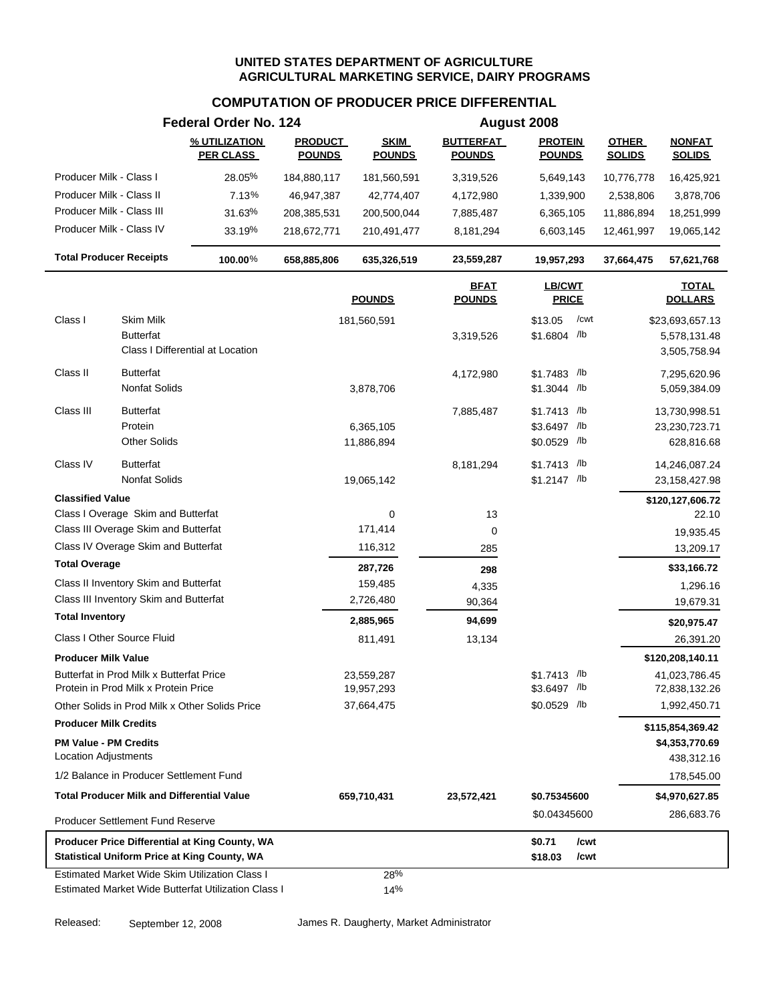|                                                      |                     | Federal Order No. 124                               |                                 |                              |                                   | August 2008                     |                               |                                |
|------------------------------------------------------|---------------------|-----------------------------------------------------|---------------------------------|------------------------------|-----------------------------------|---------------------------------|-------------------------------|--------------------------------|
|                                                      |                     | % UTILIZATION<br><b>PER CLASS</b>                   | <b>PRODUCT</b><br><b>POUNDS</b> | <b>SKIM</b><br><b>POUNDS</b> | <b>BUTTERFAT</b><br><b>POUNDS</b> | <b>PROTEIN</b><br><b>POUNDS</b> | <b>OTHER</b><br><b>SOLIDS</b> | <b>NONFAT</b><br><b>SOLIDS</b> |
| Producer Milk - Class I                              |                     | 28.05%                                              | 184,880,117                     | 181,560,591                  | 3,319,526                         | 5,649,143                       | 10,776,778                    | 16,425,921                     |
| Producer Milk - Class II                             |                     | 7.13%                                               | 46,947,387                      | 42,774,407                   | 4,172,980                         | 1,339,900                       | 2,538,806                     | 3,878,706                      |
| Producer Milk - Class III                            |                     | 31.63%                                              | 208,385,531                     | 200,500,044                  | 7,885,487                         | 6,365,105                       | 11,886,894                    | 18,251,999                     |
| Producer Milk - Class IV                             |                     | 33.19%                                              | 218,672,771                     | 210,491,477                  | 8,181,294                         | 6,603,145                       | 12,461,997                    | 19,065,142                     |
| <b>Total Producer Receipts</b>                       |                     | $100.00\%$                                          | 658,885,806                     | 635,326,519                  | 23,559,287                        | 19,957,293                      | 37,664,475                    | 57,621,768                     |
|                                                      |                     |                                                     |                                 | <b>POUNDS</b>                | <u>BFAT</u><br><b>POUNDS</b>      | <b>LB/CWT</b><br><b>PRICE</b>   |                               | <b>TOTAL</b><br><b>DOLLARS</b> |
| Class I                                              | Skim Milk           |                                                     |                                 | 181,560,591                  |                                   | /cwt<br>\$13.05                 |                               | \$23,693,657.13                |
|                                                      | <b>Butterfat</b>    |                                                     |                                 |                              | 3,319,526                         | \$1.6804 /b                     |                               | 5,578,131.48                   |
|                                                      |                     | Class I Differential at Location                    |                                 |                              |                                   |                                 |                               | 3,505,758.94                   |
| Class II                                             | <b>Butterfat</b>    |                                                     |                                 |                              | 4,172,980                         | \$1.7483 /lb                    |                               | 7,295,620.96                   |
|                                                      | Nonfat Solids       |                                                     |                                 | 3,878,706                    |                                   | \$1.3044 /lb                    |                               | 5,059,384.09                   |
| Class III                                            | <b>Butterfat</b>    |                                                     |                                 |                              | 7,885,487                         | \$1.7413 /lb                    |                               | 13,730,998.51                  |
|                                                      | Protein             |                                                     |                                 | 6,365,105                    |                                   | \$3.6497 /lb                    |                               | 23,230,723.71                  |
|                                                      | <b>Other Solids</b> |                                                     |                                 | 11,886,894                   |                                   | \$0.0529 /lb                    |                               | 628,816.68                     |
| Class IV                                             | <b>Butterfat</b>    |                                                     |                                 |                              | 8,181,294                         | \$1.7413 /lb                    |                               | 14,246,087.24                  |
|                                                      | Nonfat Solids       |                                                     |                                 | 19,065,142                   |                                   | \$1.2147 /lb                    |                               | 23, 158, 427. 98               |
| <b>Classified Value</b>                              |                     |                                                     |                                 |                              |                                   |                                 |                               | \$120,127,606.72               |
| Class I Overage Skim and Butterfat                   |                     |                                                     |                                 | 0                            | 13                                |                                 |                               | 22.10                          |
| Class III Overage Skim and Butterfat                 |                     |                                                     |                                 | 171,414                      | 0                                 |                                 |                               | 19,935.45                      |
| Class IV Overage Skim and Butterfat                  |                     |                                                     |                                 | 116,312                      | 285                               |                                 |                               | 13,209.17                      |
| <b>Total Overage</b>                                 |                     |                                                     |                                 | 287,726                      | 298                               |                                 |                               | \$33,166.72                    |
| Class II Inventory Skim and Butterfat                |                     |                                                     |                                 | 159,485                      | 4,335                             |                                 |                               | 1,296.16                       |
| Class III Inventory Skim and Butterfat               |                     |                                                     |                                 | 2,726,480                    | 90,364                            |                                 |                               | 19,679.31                      |
| <b>Total Inventory</b>                               |                     |                                                     |                                 | 2,885,965                    | 94,699                            |                                 |                               | \$20,975.47                    |
| Class I Other Source Fluid                           |                     |                                                     |                                 | 811,491                      | 13,134                            |                                 |                               | 26,391.20                      |
| <b>Producer Milk Value</b>                           |                     |                                                     |                                 |                              |                                   |                                 |                               | \$120,208,140.11               |
| Butterfat in Prod Milk x Butterfat Price             |                     |                                                     |                                 | 23,559,287                   |                                   | \$1.7413 /lb                    |                               | 41,023,786.45                  |
| Protein in Prod Milk x Protein Price                 |                     |                                                     |                                 | 19,957,293                   |                                   | $$3.6497$ /lb                   |                               | 72,838,132.26                  |
|                                                      |                     | Other Solids in Prod Milk x Other Solids Price      |                                 | 37,664,475                   |                                   | $$0.0529$ /lb                   |                               | 1,992,450.71                   |
| <b>Producer Milk Credits</b>                         |                     |                                                     |                                 |                              |                                   |                                 |                               | \$115,854,369.42               |
| <b>PM Value - PM Credits</b><br>Location Adjustments |                     |                                                     |                                 |                              |                                   |                                 |                               | \$4,353,770.69                 |
| 1/2 Balance in Producer Settlement Fund              |                     |                                                     |                                 |                              |                                   |                                 |                               | 438,312.16                     |
|                                                      |                     |                                                     |                                 |                              |                                   |                                 |                               | 178,545.00                     |
| <b>Total Producer Milk and Differential Value</b>    |                     |                                                     |                                 | 659,710,431                  | 23,572,421                        | \$0.75345600                    |                               | \$4,970,627.85                 |
| <b>Producer Settlement Fund Reserve</b>              |                     |                                                     |                                 |                              |                                   | \$0.04345600                    |                               | 286,683.76                     |
|                                                      |                     | Producer Price Differential at King County, WA      |                                 |                              |                                   | \$0.71<br>/cwt                  |                               |                                |
|                                                      |                     | <b>Statistical Uniform Price at King County, WA</b> |                                 |                              |                                   | \$18.03<br>/cwt                 |                               |                                |
|                                                      |                     | Estimated Market Wide Skim Utilization Class I      |                                 | 28%                          |                                   |                                 |                               |                                |
|                                                      |                     | Estimated Market Wide Butterfat Utilization Class I |                                 | 14%                          |                                   |                                 |                               |                                |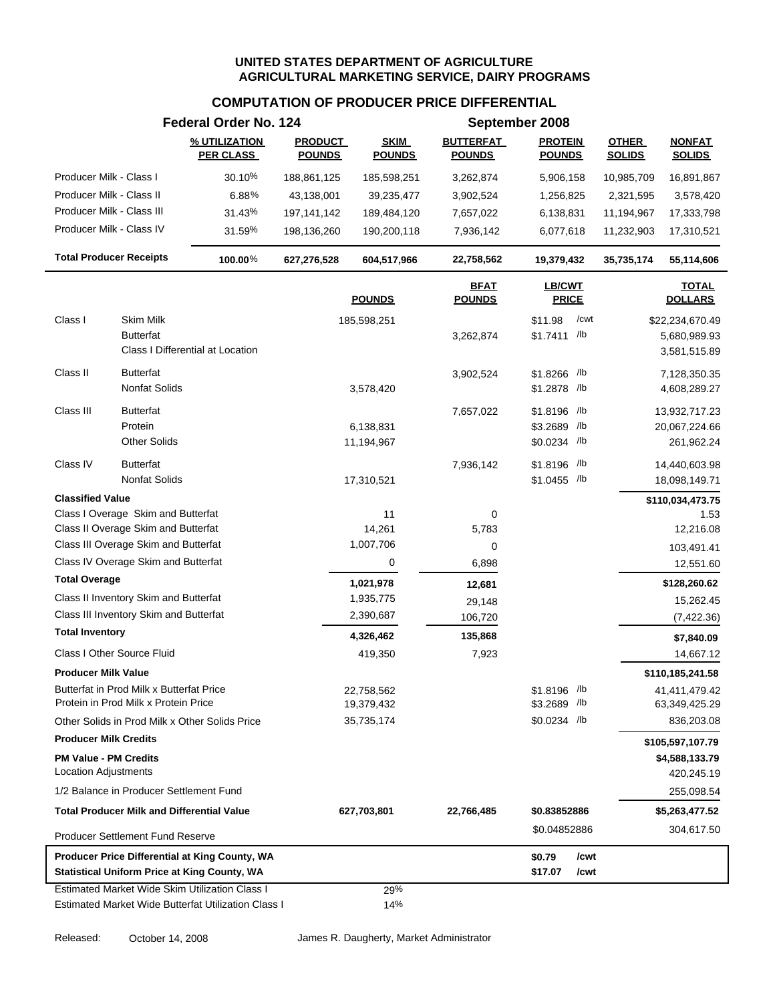|                                                       | Federal Order No. 124                                      |                                 |                              |                                   | September 2008                  |                               |                                |
|-------------------------------------------------------|------------------------------------------------------------|---------------------------------|------------------------------|-----------------------------------|---------------------------------|-------------------------------|--------------------------------|
|                                                       | % UTILIZATION<br><b>PER CLASS</b>                          | <b>PRODUCT</b><br><b>POUNDS</b> | <b>SKIM</b><br><b>POUNDS</b> | <b>BUTTERFAT</b><br><b>POUNDS</b> | <b>PROTEIN</b><br><b>POUNDS</b> | <b>OTHER</b><br><b>SOLIDS</b> | <b>NONFAT</b><br><b>SOLIDS</b> |
| Producer Milk - Class I                               | 30.10%                                                     | 188,861,125                     | 185,598,251                  | 3,262,874                         | 5,906,158                       | 10,985,709                    | 16,891,867                     |
| Producer Milk - Class II                              | $6.88\%$                                                   | 43,138,001                      | 39,235,477                   | 3,902,524                         | 1,256,825                       | 2,321,595                     | 3,578,420                      |
| Producer Milk - Class III                             | 31.43%                                                     | 197,141,142                     | 189,484,120                  | 7,657,022                         | 6,138,831                       | 11,194,967                    | 17,333,798                     |
| Producer Milk - Class IV                              | 31.59%                                                     | 198,136,260                     | 190,200,118                  | 7,936,142                         | 6,077,618                       | 11,232,903                    | 17,310,521                     |
| <b>Total Producer Receipts</b>                        | 100.00%                                                    | 627,276,528                     | 604,517,966                  | 22,758,562                        | 19,379,432                      | 35,735,174                    | 55,114,606                     |
|                                                       |                                                            |                                 | <b>POUNDS</b>                | <b>BFAT</b><br><b>POUNDS</b>      | <b>LB/CWT</b><br><b>PRICE</b>   |                               | <b>TOTAL</b><br><b>DOLLARS</b> |
| <b>Skim Milk</b><br>Class I                           |                                                            |                                 | 185,598,251                  |                                   | \$11.98<br>/cwt                 |                               | \$22,234,670.49                |
| <b>Butterfat</b>                                      |                                                            |                                 |                              | 3,262,874                         | \$1.7411 /lb                    |                               | 5,680,989.93                   |
|                                                       | Class I Differential at Location                           |                                 |                              |                                   |                                 |                               | 3,581,515.89                   |
| Class II<br><b>Butterfat</b>                          |                                                            |                                 |                              | 3,902,524                         | \$1.8266 /lb                    |                               | 7,128,350.35                   |
| Nonfat Solids                                         |                                                            |                                 | 3,578,420                    |                                   | \$1.2878 /lb                    |                               | 4,608,289.27                   |
| Class III<br><b>Butterfat</b>                         |                                                            |                                 |                              |                                   |                                 |                               |                                |
| Protein                                               |                                                            |                                 | 6,138,831                    | 7,657,022                         | $$1.8196$ /lb<br>\$3.2689 /lb   |                               | 13,932,717.23<br>20,067,224.66 |
| <b>Other Solids</b>                                   |                                                            |                                 | 11,194,967                   |                                   | $$0.0234$ /lb                   |                               | 261,962.24                     |
|                                                       |                                                            |                                 |                              |                                   |                                 |                               |                                |
| Class IV<br><b>Butterfat</b><br>Nonfat Solids         |                                                            |                                 |                              | 7,936,142                         | \$1.8196 /lb<br>\$1.0455 /lb    |                               | 14,440,603.98                  |
| <b>Classified Value</b>                               |                                                            |                                 | 17,310,521                   |                                   |                                 |                               | 18,098,149.71                  |
| Class I Overage Skim and Butterfat                    |                                                            |                                 | 11                           | 0                                 |                                 |                               | \$110,034,473.75<br>1.53       |
| Class II Overage Skim and Butterfat                   |                                                            |                                 | 14,261                       | 5,783                             |                                 |                               | 12,216.08                      |
| Class III Overage Skim and Butterfat                  |                                                            |                                 | 1,007,706                    | 0                                 |                                 |                               | 103,491.41                     |
| Class IV Overage Skim and Butterfat                   |                                                            |                                 | 0                            | 6,898                             |                                 |                               | 12,551.60                      |
| <b>Total Overage</b>                                  |                                                            |                                 | 1,021,978                    |                                   |                                 |                               | \$128,260.62                   |
| Class II Inventory Skim and Butterfat                 |                                                            |                                 | 1,935,775                    | 12,681                            |                                 |                               | 15,262.45                      |
| Class III Inventory Skim and Butterfat                |                                                            |                                 | 2,390,687                    | 29,148<br>106,720                 |                                 |                               | (7,422.36)                     |
| <b>Total Inventory</b>                                |                                                            |                                 | 4,326,462                    | 135,868                           |                                 |                               | \$7,840.09                     |
| Class I Other Source Fluid                            |                                                            |                                 | 419,350                      | 7,923                             |                                 |                               | 14,667.12                      |
| <b>Producer Milk Value</b>                            |                                                            |                                 |                              |                                   |                                 |                               | \$110,185,241.58               |
| Butterfat in Prod Milk x Butterfat Price              |                                                            |                                 | 22,758,562                   |                                   | $$1.8196$ /lb                   |                               | 41,411,479.42                  |
| Protein in Prod Milk x Protein Price                  |                                                            |                                 | 19,379,432                   |                                   | \$3.2689 /lb                    |                               | 63,349,425.29                  |
| Other Solids in Prod Milk x Other Solids Price        |                                                            |                                 | 35,735,174                   |                                   | $$0.0234$ /lb                   |                               | 836,203.08                     |
| <b>Producer Milk Credits</b>                          |                                                            |                                 |                              |                                   |                                 |                               | \$105,597,107.79               |
| <b>PM Value - PM Credits</b>                          |                                                            |                                 |                              |                                   |                                 |                               | \$4,588,133.79                 |
| Location Adjustments                                  |                                                            |                                 |                              |                                   |                                 |                               | 420,245.19                     |
| 1/2 Balance in Producer Settlement Fund               |                                                            |                                 |                              |                                   |                                 |                               | 255,098.54                     |
| <b>Total Producer Milk and Differential Value</b>     |                                                            |                                 | 627,703,801                  | 22,766,485                        | \$0.83852886                    |                               | \$5,263,477.52                 |
| <b>Producer Settlement Fund Reserve</b>               |                                                            |                                 |                              |                                   | \$0.04852886                    |                               | 304,617.50                     |
|                                                       | Producer Price Differential at King County, WA             |                                 |                              |                                   | \$0.79<br>/cwt                  |                               |                                |
| <b>Statistical Uniform Price at King County, WA</b>   |                                                            |                                 |                              |                                   | \$17.07<br>/cwt                 |                               |                                |
| <b>Estimated Market Wide Skim Utilization Class I</b> | <b>Estimated Market Wide Butterfat Utilization Class I</b> |                                 | 29%                          |                                   |                                 |                               |                                |
|                                                       |                                                            |                                 | 14%                          |                                   |                                 |                               |                                |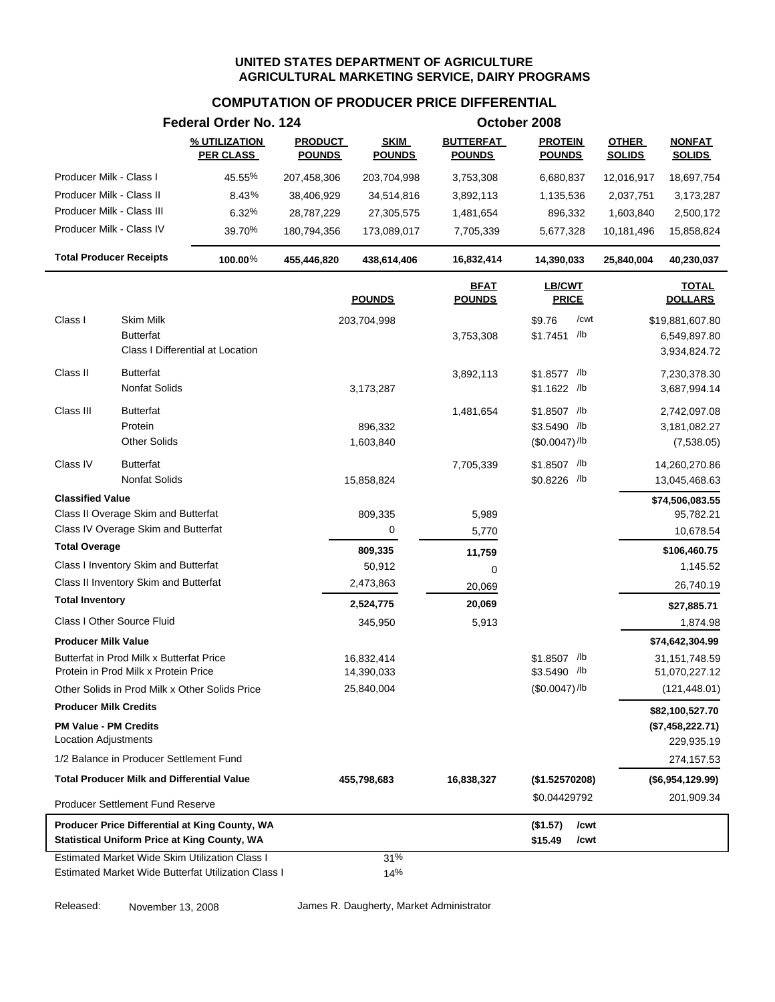#### **COMPUTATION OF PRODUCER PRICE DIFFERENTIAL**

|                                                      |                                                                                  | Federal Order No. 124                                                                                        |                                 | October 2008                 |                                   |                                                |                               |                                                 |  |  |  |  |
|------------------------------------------------------|----------------------------------------------------------------------------------|--------------------------------------------------------------------------------------------------------------|---------------------------------|------------------------------|-----------------------------------|------------------------------------------------|-------------------------------|-------------------------------------------------|--|--|--|--|
|                                                      |                                                                                  | % UTILIZATION<br><b>PER CLASS</b>                                                                            | <b>PRODUCT</b><br><b>POUNDS</b> | <b>SKIM</b><br><b>POUNDS</b> | <b>BUTTERFAT</b><br><b>POUNDS</b> | <b>PROTEIN</b><br><b>POUNDS</b>                | <b>OTHER</b><br><b>SOLIDS</b> | <b>NONFAT</b><br><b>SOLIDS</b>                  |  |  |  |  |
| Producer Milk - Class I                              |                                                                                  | 45.55%                                                                                                       | 207,458,306                     | 203,704,998                  | 3,753,308                         | 6,680,837                                      | 12,016,917                    | 18,697,754                                      |  |  |  |  |
| Producer Milk - Class II                             |                                                                                  | 8.43%                                                                                                        | 38,406,929                      | 34,514,816                   | 3,892,113                         | 1,135,536                                      | 2,037,751                     | 3,173,287                                       |  |  |  |  |
| Producer Milk - Class III                            |                                                                                  | 6.32%                                                                                                        | 28,787,229                      | 27,305,575                   | 1,481,654                         | 896,332                                        | 1,603,840                     | 2,500,172                                       |  |  |  |  |
| Producer Milk - Class IV                             |                                                                                  | 39.70%                                                                                                       | 180,794,356                     | 173,089,017                  | 7,705,339                         | 5,677,328                                      | 10,181,496                    | 15,858,824                                      |  |  |  |  |
| <b>Total Producer Receipts</b>                       |                                                                                  | 100.00%                                                                                                      | 455,446,820                     | 438,614,406                  | 16,832,414                        | 14,390,033                                     | 25,840,004                    | 40,230,037                                      |  |  |  |  |
|                                                      |                                                                                  |                                                                                                              |                                 | <b>POUNDS</b>                | <b>BFAT</b><br><b>POUNDS</b>      | <b>LB/CWT</b><br><b>PRICE</b>                  |                               | <b>TOTAL</b><br><b>DOLLARS</b>                  |  |  |  |  |
|                                                      |                                                                                  |                                                                                                              |                                 |                              |                                   |                                                |                               |                                                 |  |  |  |  |
| Class I                                              | Skim Milk<br><b>Butterfat</b>                                                    | Class I Differential at Location                                                                             |                                 | 203,704,998                  | 3,753,308                         | /cwt<br>\$9.76<br>\$1.7451 /lb                 |                               | \$19,881,607.80<br>6,549,897.80<br>3,934,824.72 |  |  |  |  |
| Class II                                             | <b>Butterfat</b><br>Nonfat Solids                                                |                                                                                                              |                                 | 3,173,287                    | 3,892,113                         | $$1.8577$ /lb<br>$$1.1622$ /lb                 |                               | 7,230,378.30<br>3,687,994.14                    |  |  |  |  |
| Class III                                            | <b>Butterfat</b><br>Protein<br><b>Other Solids</b>                               |                                                                                                              |                                 | 896,332<br>1,603,840         | 1,481,654                         | \$1.8507 /lb<br>\$3.5490 /b<br>$($0.0047)$ /lb |                               | 2,742,097.08<br>3,181,082.27<br>(7,538.05)      |  |  |  |  |
| Class IV                                             | <b>Butterfat</b><br><b>Nonfat Solids</b>                                         |                                                                                                              |                                 | 15,858,824                   | 7,705,339                         | \$1.8507 /lb<br>\$0.8226 /lb                   |                               | 14,260,270.86<br>13,045,468.63                  |  |  |  |  |
| <b>Classified Value</b>                              |                                                                                  |                                                                                                              |                                 |                              |                                   |                                                |                               | \$74,506,083.55                                 |  |  |  |  |
|                                                      | Class II Overage Skim and Butterfat                                              |                                                                                                              |                                 | 809,335                      | 5,989                             |                                                |                               | 95,782.21                                       |  |  |  |  |
|                                                      | Class IV Overage Skim and Butterfat                                              |                                                                                                              |                                 | 0                            | 5,770                             |                                                |                               | 10,678.54                                       |  |  |  |  |
| <b>Total Overage</b>                                 |                                                                                  |                                                                                                              |                                 | 809,335                      | 11,759                            |                                                |                               | \$106,460.75                                    |  |  |  |  |
|                                                      | Class I Inventory Skim and Butterfat                                             |                                                                                                              |                                 | 50,912                       | 0                                 |                                                |                               | 1,145.52                                        |  |  |  |  |
|                                                      | Class II Inventory Skim and Butterfat                                            |                                                                                                              |                                 | 2,473,863                    | 20,069                            |                                                |                               | 26,740.19                                       |  |  |  |  |
| <b>Total Inventory</b>                               |                                                                                  |                                                                                                              |                                 | 2,524,775                    | 20,069                            |                                                |                               | \$27,885.71                                     |  |  |  |  |
|                                                      | Class I Other Source Fluid                                                       |                                                                                                              |                                 | 345,950                      | 5,913                             |                                                |                               | 1,874.98                                        |  |  |  |  |
| <b>Producer Milk Value</b>                           |                                                                                  |                                                                                                              |                                 |                              |                                   |                                                |                               | \$74,642,304.99                                 |  |  |  |  |
|                                                      | Butterfat in Prod Milk x Butterfat Price<br>Protein in Prod Milk x Protein Price |                                                                                                              |                                 | 16,832,414<br>14,390,033     |                                   | \$1.8507 /lb<br>\$3.5490 /lb                   |                               | 31, 151, 748.59<br>51,070,227.12                |  |  |  |  |
|                                                      |                                                                                  | Other Solids in Prod Milk x Other Solids Price                                                               |                                 | 25,840,004                   |                                   | $($0.0047)$ /lb                                |                               | (121, 448.01)                                   |  |  |  |  |
| <b>Producer Milk Credits</b>                         |                                                                                  |                                                                                                              |                                 |                              |                                   |                                                |                               | \$82,100,527.70                                 |  |  |  |  |
| <b>PM Value - PM Credits</b><br>Location Adjustments |                                                                                  |                                                                                                              |                                 |                              |                                   |                                                |                               | (\$7,458,222.71)<br>229,935.19                  |  |  |  |  |
|                                                      | 1/2 Balance in Producer Settlement Fund                                          |                                                                                                              |                                 |                              |                                   |                                                |                               | 274,157.53                                      |  |  |  |  |
|                                                      | <b>Total Producer Milk and Differential Value</b>                                |                                                                                                              |                                 | 455,798,683                  | 16,838,327                        | (\$1.52570208)                                 |                               | (\$6,954,129.99)                                |  |  |  |  |
|                                                      | <b>Producer Settlement Fund Reserve</b>                                          |                                                                                                              |                                 |                              |                                   | \$0.04429792                                   |                               | 201,909.34                                      |  |  |  |  |
|                                                      |                                                                                  | Producer Price Differential at King County, WA<br><b>Statistical Uniform Price at King County, WA</b>        |                                 |                              |                                   | (\$1.57)<br>/cwt<br>\$15.49<br>/cwt            |                               |                                                 |  |  |  |  |
|                                                      |                                                                                  | <b>Estimated Market Wide Skim Utilization Class I</b><br>Estimated Market Wide Butterfat Utilization Class I |                                 | 31%<br>14%                   |                                   |                                                |                               |                                                 |  |  |  |  |

Released: November 13, 2008 James R. Daugherty, Market Administrator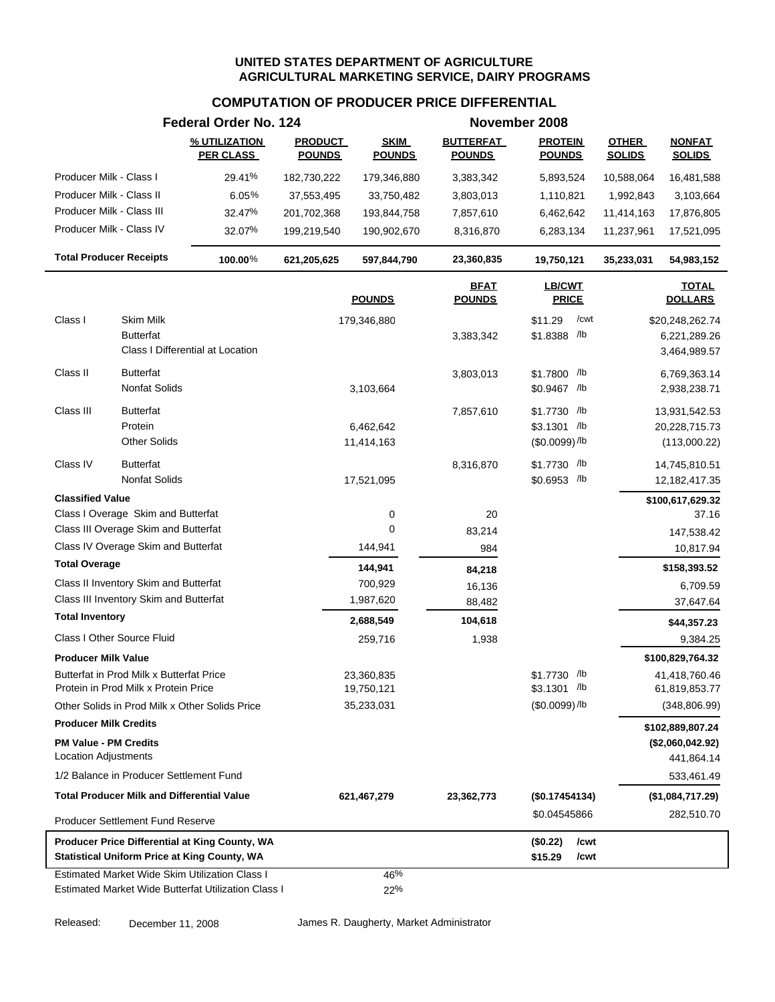#### **COMPUTATION OF PRODUCER PRICE DIFFERENTIAL**

|                                                            | Federal Order No. 124             |                                 |                              |                                   | November 2008                   |                               |                                |
|------------------------------------------------------------|-----------------------------------|---------------------------------|------------------------------|-----------------------------------|---------------------------------|-------------------------------|--------------------------------|
|                                                            | % UTILIZATION<br><b>PER CLASS</b> | <b>PRODUCT</b><br><b>POUNDS</b> | <b>SKIM</b><br><b>POUNDS</b> | <b>BUTTERFAT</b><br><b>POUNDS</b> | <b>PROTEIN</b><br><b>POUNDS</b> | <b>OTHER</b><br><b>SOLIDS</b> | <b>NONFAT</b><br><b>SOLIDS</b> |
| Producer Milk - Class I                                    | 29.41%                            | 182,730,222                     | 179,346,880                  | 3,383,342                         | 5,893,524                       | 10,588,064                    | 16,481,588                     |
| Producer Milk - Class II                                   | 6.05%                             | 37,553,495                      | 33,750,482                   | 3,803,013                         | 1,110,821                       | 1,992,843                     | 3,103,664                      |
| Producer Milk - Class III                                  | 32.47%                            | 201,702,368                     | 193,844,758                  | 7,857,610                         | 6,462,642                       | 11,414,163                    | 17,876,805                     |
| Producer Milk - Class IV                                   | 32.07%                            | 199,219,540                     | 190,902,670                  | 8,316,870                         | 6,283,134                       | 11,237,961                    | 17,521,095                     |
| <b>Total Producer Receipts</b>                             | $100.00\%$                        | 621,205,625                     | 597,844,790                  | 23,360,835                        | 19,750,121                      | 35,233,031                    | 54,983,152                     |
|                                                            |                                   |                                 | <b>POUNDS</b>                | <b>BFAT</b><br><b>POUNDS</b>      | <b>LB/CWT</b><br><b>PRICE</b>   |                               | <b>TOTAL</b><br><b>DOLLARS</b> |
| Class I<br>Skim Milk                                       |                                   |                                 | 179,346,880                  |                                   | \$11.29<br>/cwt                 |                               | \$20,248,262.74                |
| <b>Butterfat</b>                                           |                                   |                                 |                              | 3,383,342                         | $$1.8388$ /lb                   |                               | 6,221,289.26                   |
| Class I Differential at Location                           |                                   |                                 |                              |                                   |                                 |                               | 3,464,989.57                   |
| Class II<br><b>Butterfat</b>                               |                                   |                                 |                              | 3,803,013                         | \$1.7800 /lb                    |                               | 6,769,363.14                   |
| <b>Nonfat Solids</b>                                       |                                   |                                 | 3,103,664                    |                                   | \$0.9467 /lb                    |                               | 2,938,238.71                   |
|                                                            |                                   |                                 |                              |                                   |                                 |                               |                                |
| Class III<br><b>Butterfat</b><br>Protein                   |                                   |                                 | 6,462,642                    | 7,857,610                         | \$1.7730 /lb<br>$$3.1301$ /lb   |                               | 13,931,542.53<br>20,228,715.73 |
| <b>Other Solids</b>                                        |                                   |                                 | 11,414,163                   |                                   | $($0.0099)$ /lb                 |                               | (113,000.22)                   |
|                                                            |                                   |                                 |                              |                                   |                                 |                               |                                |
| Class IV<br><b>Butterfat</b><br><b>Nonfat Solids</b>       |                                   |                                 | 17,521,095                   | 8,316,870                         | $$1.7730$ /lb<br>$$0.6953$ /lb  |                               | 14,745,810.51<br>12,182,417.35 |
| <b>Classified Value</b>                                    |                                   |                                 |                              |                                   |                                 |                               |                                |
| Class I Overage Skim and Butterfat                         |                                   |                                 | 0                            | 20                                |                                 |                               | \$100,617,629.32<br>37.16      |
| Class III Overage Skim and Butterfat                       |                                   |                                 | 0                            | 83,214                            |                                 |                               | 147,538.42                     |
| Class IV Overage Skim and Butterfat                        |                                   |                                 | 144,941                      | 984                               |                                 |                               | 10,817.94                      |
| <b>Total Overage</b>                                       |                                   |                                 | 144,941                      |                                   |                                 |                               | \$158,393.52                   |
| Class II Inventory Skim and Butterfat                      |                                   |                                 | 700,929                      | 84,218<br>16,136                  |                                 |                               | 6,709.59                       |
| Class III Inventory Skim and Butterfat                     |                                   |                                 | 1,987,620                    | 88,482                            |                                 |                               | 37,647.64                      |
| <b>Total Inventory</b>                                     |                                   |                                 | 2,688,549                    | 104,618                           |                                 |                               | \$44,357.23                    |
| Class I Other Source Fluid                                 |                                   |                                 | 259,716                      | 1,938                             |                                 |                               | 9,384.25                       |
| <b>Producer Milk Value</b>                                 |                                   |                                 |                              |                                   |                                 |                               | \$100,829,764.32               |
| Butterfat in Prod Milk x Butterfat Price                   |                                   |                                 | 23,360,835                   |                                   | \$1.7730 /lb                    |                               | 41,418,760.46                  |
| Protein in Prod Milk x Protein Price                       |                                   |                                 | 19,750,121                   |                                   | \$3.1301 /lb                    |                               | 61,819,853.77                  |
| Other Solids in Prod Milk x Other Solids Price             |                                   |                                 | 35,233,031                   |                                   | $($0.0099)$ /lb                 |                               | (348, 806.99)                  |
| <b>Producer Milk Credits</b>                               |                                   |                                 |                              |                                   |                                 |                               | \$102,889,807.24               |
| <b>PM Value - PM Credits</b>                               |                                   |                                 |                              |                                   |                                 |                               | (\$2,060,042.92)               |
| <b>Location Adjustments</b>                                |                                   |                                 |                              |                                   |                                 |                               | 441,864.14                     |
| 1/2 Balance in Producer Settlement Fund                    |                                   |                                 |                              |                                   |                                 |                               | 533,461.49                     |
| <b>Total Producer Milk and Differential Value</b>          |                                   |                                 | 621,467,279                  | 23,362,773                        | (\$0.17454134)                  |                               | (\$1,084,717.29)               |
| <b>Producer Settlement Fund Reserve</b>                    |                                   |                                 |                              |                                   | \$0.04545866                    |                               | 282,510.70                     |
| Producer Price Differential at King County, WA             |                                   |                                 |                              |                                   | /cwt<br>(\$0.22)                |                               |                                |
| <b>Statistical Uniform Price at King County, WA</b>        |                                   |                                 |                              |                                   | \$15.29<br>/cwt                 |                               |                                |
| <b>Estimated Market Wide Skim Utilization Class I</b>      |                                   |                                 | 46%                          |                                   |                                 |                               |                                |
| <b>Estimated Market Wide Butterfat Utilization Class I</b> |                                   |                                 | 22%                          |                                   |                                 |                               |                                |

Released: December 11, 2008 James R. Daugherty, Market Administrator